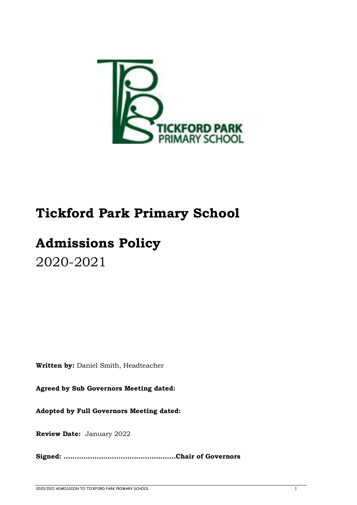

# **Tickford Park Primary School**

# **Admissions Policy** 2020-2021

**Written by:** Daniel Smith, Headteacher

**Agreed by Sub Governors Meeting dated:** 

**Adopted by Full Governors Meeting dated:** 

**Review Date:** January 2022

**Signed: ……………………………………………Chair of Governors**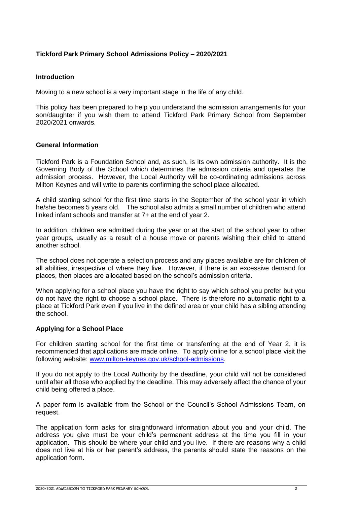# **Tickford Park Primary School Admissions Policy – 2020/2021**

#### **Introduction**

Moving to a new school is a very important stage in the life of any child.

This policy has been prepared to help you understand the admission arrangements for your son/daughter if you wish them to attend Tickford Park Primary School from September 2020/2021 onwards.

# **General Information**

Tickford Park is a Foundation School and, as such, is its own admission authority. It is the Governing Body of the School which determines the admission criteria and operates the admission process. However, the Local Authority will be co-ordinating admissions across Milton Keynes and will write to parents confirming the school place allocated.

A child starting school for the first time starts in the September of the school year in which he/she becomes 5 years old. The school also admits a small number of children who attend linked infant schools and transfer at 7+ at the end of year 2.

In addition, children are admitted during the year or at the start of the school year to other year groups, usually as a result of a house move or parents wishing their child to attend another school.

The school does not operate a selection process and any places available are for children of all abilities, irrespective of where they live. However, if there is an excessive demand for places, then places are allocated based on the school's admission criteria.

When applying for a school place you have the right to say which school you prefer but you do not have the right to choose a school place. There is therefore no automatic right to a place at Tickford Park even if you live in the defined area or your child has a sibling attending the school.

# **Applying for a School Place**

For children starting school for the first time or transferring at the end of Year 2, it is recommended that applications are made online. To apply online for a school place visit the following website: [www.milton-keynes.gov.uk/school-admissions.](http://www.milton-keynes.gov.uk/school-admissions)

If you do not apply to the Local Authority by the deadline, your child will not be considered until after all those who applied by the deadline. This may adversely affect the chance of your child being offered a place.

A paper form is available from the School or the Council's School Admissions Team, on request.

The application form asks for straightforward information about you and your child. The address you give must be your child's permanent address at the time you fill in your application. This should be where your child and you live. If there are reasons why a child does not live at his or her parent's address, the parents should state the reasons on the application form.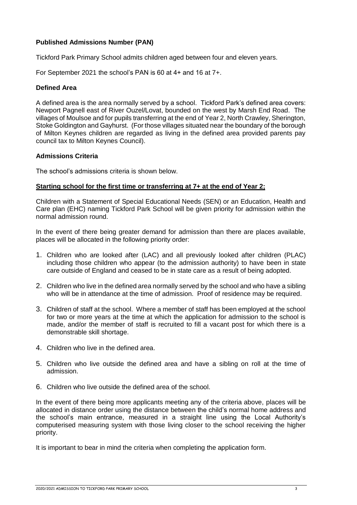# **Published Admissions Number (PAN)**

Tickford Park Primary School admits children aged between four and eleven years.

For September 2021 the school's PAN is 60 at 4+ and 16 at 7+.

#### **Defined Area**

A defined area is the area normally served by a school. Tickford Park's defined area covers: Newport Pagnell east of River Ouzel/Lovat, bounded on the west by Marsh End Road. The villages of Moulsoe and for pupils transferring at the end of Year 2, North Crawley, Sherington, Stoke Goldington and Gayhurst. (For those villages situated near the boundary of the borough of Milton Keynes children are regarded as living in the defined area provided parents pay council tax to Milton Keynes Council).

#### **Admissions Criteria**

The school's admissions criteria is shown below.

# **Starting school for the first time or transferring at 7+ at the end of Year 2;**

Children with a Statement of Special Educational Needs (SEN) or an Education, Health and Care plan (EHC) naming Tickford Park School will be given priority for admission within the normal admission round.

In the event of there being greater demand for admission than there are places available, places will be allocated in the following priority order:

- 1. Children who are looked after (LAC) and all previously looked after children (PLAC) including those children who appear (to the admission authority) to have been in state care outside of England and ceased to be in state care as a result of being adopted.
- 2. Children who live in the defined area normally served by the school and who have a sibling who will be in attendance at the time of admission. Proof of residence may be required.
- 3. Children of staff at the school. Where a member of staff has been employed at the school for two or more years at the time at which the application for admission to the school is made, and/or the member of staff is recruited to fill a vacant post for which there is a demonstrable skill shortage.
- 4. Children who live in the defined area.
- 5. Children who live outside the defined area and have a sibling on roll at the time of admission.
- 6. Children who live outside the defined area of the school.

In the event of there being more applicants meeting any of the criteria above, places will be allocated in distance order using the distance between the child's normal home address and the school's main entrance, measured in a straight line using the Local Authority's computerised measuring system with those living closer to the school receiving the higher priority.

It is important to bear in mind the criteria when completing the application form.